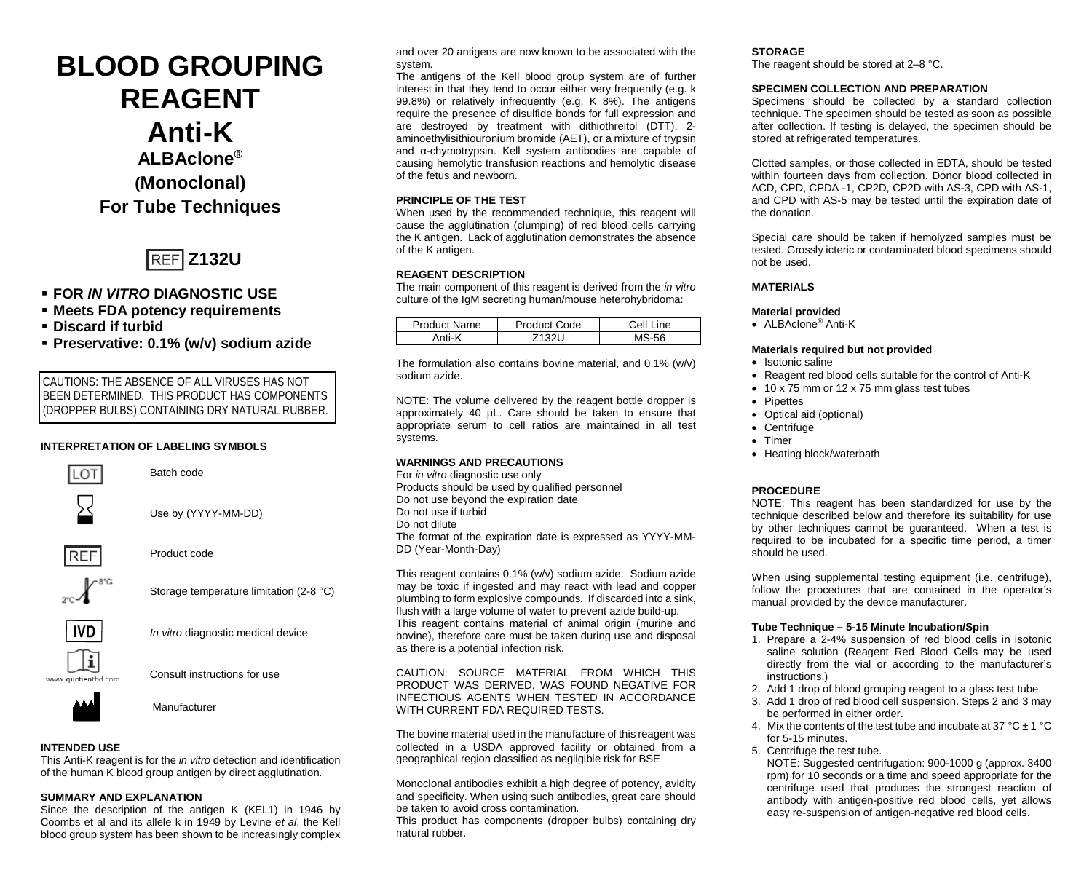# **BLOOD GROUPING REAGENT Anti-K ALBAclone® (Monoclonal) For Tube Techniques**



# **FOR** *IN VITRO* **DIAGNOSTIC USE**

- **Meets FDA potency requirements**
- **Discard if turbid**
- **Preservative: 0.1% (w/v) sodium azide**

CAUTIONS: THE ABSENCE OF ALL VIRUSES HAS NOT BEEN DETERMINED. THIS PRODUCT HAS COMPONENTS (DROPPER BULBS) CONTAINING DRY NATURAL RUBBER.

## **INTERPRETATION OF LABELING SYMBOLS**



Storage temperature limitation (2-8 °C)



*In vitro* diagnostic medical device



Consult instructions for use



# **INTENDED USE**

This Anti-K reagent is for the *in vitro* detection and identification of the human K blood group antigen by direct agglutination.

# **SUMMARY AND EXPLANATION**

Since the description of the antigen K (KEL1) in 1946 by Coombs et al and its allele k in 1949 by Levine *et al*, the Kell blood group system has been shown to be increasingly complex and over 20 antigens are now known to be associated with the system.

The antigens of the Kell blood group system are of further interest in that they tend to occur either very frequently (e.g. k 99.8%) or relatively infrequently (e.g. K 8%). The antigens require the presence of disulfide bonds for full expression and are destroyed by treatment with dithiothreitol (DTT), 2 aminoethylisithiouronium bromide (AET), or a mixture of trypsin and α-chymotrypsin. Kell system antibodies are capable of causing hemolytic transfusion reactions and hemolytic disease of the fetus and newborn.

# **PRINCIPLE OF THE TEST**

When used by the recommended technique, this reagent will cause the agglutination (clumping) of red blood cells carrying the K antigen. Lack of agglutination demonstrates the absence of the K antigen.

# **REAGENT DESCRIPTION**

The main component of this reagent is derived from the *in vitro* culture of the IgM secreting human/mouse heterohybridoma:

| Product Name | Product Code | Cell L<br>.ine |
|--------------|--------------|----------------|
| Anti-K       |              |                |

The formulation also contains bovine material, and 0.1% (w/v) sodium azide.

NOTE: The volume delivered by the reagent bottle dropper is approximately 40 µL. Care should be taken to ensure that appropriate serum to cell ratios are maintained in all test systems.

## **WARNINGS AND PRECAUTIONS**

For *in vitro* diagnostic use only Products should be used by qualified personnel Do not use beyond the expiration date Do not use if turbid Do not dilute The format of the expiration date is expressed as YYYY-MM-DD (Year-Month-Day)

This reagent contains 0.1% (w/v) sodium azide. Sodium azide may be toxic if ingested and may react with lead and copper plumbing to form explosive compounds. If discarded into a sink, flush with a large volume of water to prevent azide build-up. This reagent contains material of animal origin (murine and bovine), therefore care must be taken during use and disposal as there is a potential infection risk.

CAUTION: SOURCE MATERIAL FROM WHICH THIS PRODUCT WAS DERIVED, WAS FOUND NEGATIVE FOR INFECTIOUS AGENTS WHEN TESTED IN ACCORDANCE WITH CURRENT FDA REQUIRED TESTS.

The bovine material used in the manufacture of this reagent was collected in a USDA approved facility or obtained from a geographical region classified as negligible risk for BSE

Monoclonal antibodies exhibit a high degree of potency, avidity and specificity. When using such antibodies, great care should be taken to avoid cross contamination*.*

This product has components (dropper bulbs) containing dry natural rubber.

# **STORAGE**

The reagent should be stored at 2–8 °C.

# **SPECIMEN COLLECTION AND PREPARATION**

Specimens should be collected by a standard collection technique. The specimen should be tested as soon as possible after collection. If testing is delayed, the specimen should be stored at refrigerated temperatures.

Clotted samples, or those collected in EDTA, should be tested within fourteen days from collection. Donor blood collected in ACD, CPD, CPDA -1, CP2D, CP2D with AS-3, CPD with AS-1, and CPD with AS-5 may be tested until the expiration date of the donation.

Special care should be taken if hemolyzed samples must be tested. Grossly icteric or contaminated blood specimens should not be used.

# **MATERIALS**

## **Material provided**

• ALBAclone® Anti-K

## **Materials required but not provided**

- Isotonic saline
- Reagent red blood cells suitable for the control of Anti-K
- 10 x 75 mm or 12 x 75 mm glass test tubes
- Pipettes
- Optical aid (optional)
- Centrifuge
- Timer
- Heating block/waterbath

# **PROCEDURE**

NOTE: This reagent has been standardized for use by the technique described below and therefore its suitability for use by other techniques cannot be guaranteed. When a test is required to be incubated for a specific time period, a timer should be used.

When using supplemental testing equipment (i.e. centrifuge), follow the procedures that are contained in the operator's manual provided by the device manufacturer.

## **Tube Technique – 5-15 Minute Incubation/Spin**

- 1. Prepare a 2-4% suspension of red blood cells in isotonic saline solution (Reagent Red Blood Cells may be used directly from the vial or according to the manufacturer's instructions.)
- 2. Add 1 drop of blood grouping reagent to a glass test tube.
- 3. Add 1 drop of red blood cell suspension. Steps 2 and 3 may be performed in either order.
- 4. Mix the contents of the test tube and incubate at 37  $^{\circ}$ C  $\pm$  1  $^{\circ}$ C for 5-15 minutes.
- 5. Centrifuge the test tube. NOTE: Suggested centrifugation: 900-1000 g (approx. 3400 rpm) for 10 seconds or a time and speed appropriate for the centrifuge used that produces the strongest reaction of antibody with antigen-positive red blood cells, yet allows easy re-suspension of antigen-negative red blood cells.